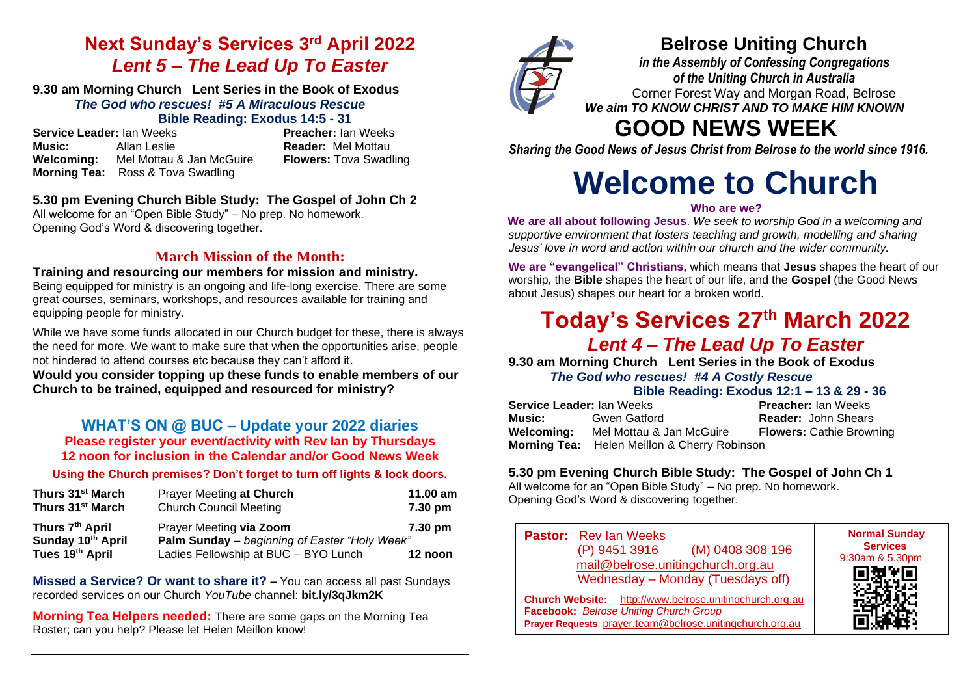# **Next Sunday's Services 3 rd April 2022** *Lent 5 – The Lead Up To Easter*

#### **9.30 am Morning Church Lent Series in the Book of Exodus** *The God who rescues!**#5 A Miraculous Rescue* **Bible Reading: Exodus 14:5 - 31**

**Service Leader:** Ian Weeks **Preacher:** Ian Weeks **Music:** Allan Leslie **Reader:** Mel Mottau **Reader:** Mel Mottau **Reader:** Mel Mottau **Reader: Reader: Reader: Reader: Reader: Reader: Reader: Reader: Reader: Reader: Reader: Reader: Reader: Reader Mel Mottau & Jan McGuire Morning Tea:** Ross & Tova Swadling

# **5.30 pm Evening Church Bible Study: The Gospel of John Ch 2**

All welcome for an "Open Bible Study" – No prep. No homework. Opening God's Word & discovering together.

# **March Mission of the Month:**

#### **Training and resourcing our members for mission and ministry.** Being equipped for ministry is an ongoing and life-long exercise. There are some great courses, seminars, workshops, and resources available for training and equipping people for ministry.

While we have some funds allocated in our Church budget for these, there is always the need for more. We want to make sure that when the opportunities arise, people not hindered to attend courses etc because they can't afford it.

**Would you consider topping up these funds to enable members of our Church to be trained, equipped and resourced for ministry?**

## **WHAT'S ON @ BUC – Update your 2022 diaries Please register your event/activity with Rev Ian by Thursdays 12 noon for inclusion in the Calendar and/or Good News Week**

## **Using the Church premises? Don't forget to turn off lights & lock doors.**

| Thurs 31 <sup>st</sup> March                            | Prayer Meeting at Church                                                                                         | 11.00 $am$         |
|---------------------------------------------------------|------------------------------------------------------------------------------------------------------------------|--------------------|
| Thurs 31 <sup>st</sup> March                            | <b>Church Council Meeting</b>                                                                                    | 7.30 pm            |
| Thurs 7th April<br>Sunday 10th April<br>Tues 19th April | Prayer Meeting via Zoom<br>Palm Sunday - beginning of Easter "Holy Week"<br>Ladies Fellowship at BUC - BYO Lunch | 7.30 pm<br>12 noon |

**Missed a Service? Or want to share it? –** You can access all past Sundays recorded services on our Church *YouTube* channel: **bit.ly/3qJkm2K**

**Morning Tea Helpers needed:** There are some gaps on the Morning Tea Roster; can you help? Please let Helen Meillon know!



# **Belrose Uniting Church**

*in the Assembly of Confessing Congregations of the Uniting Church in Australia* Corner Forest Way and Morgan Road, Belrose *We aim TO KNOW CHRIST AND TO MAKE HIM KNOWN*

# **GOOD NEWS WEEK**

*Sharing the Good News of Jesus Christ from Belrose to the world since 1916.*

# **Welcome to Church**

#### **Who are we?**

**We are all about following Jesus**. *We seek to worship God in a welcoming and supportive environment that fosters teaching and growth, modelling and sharing Jesus' love in word and action within our church and the wider community.*

**We are "evangelical" Christians,** which means that **Jesus** shapes the heart of our worship, the **Bible** shapes the heart of our life, and the **Gospel** (the Good News about Jesus) shapes our heart for a broken world.

# **Today's Services 27 th March 2022**  *Lent 4 – The Lead Up To Easter*

**9.30 am Morning Church Lent Series in the Book of Exodus**

## *The God who rescues!**#4 A Costly Rescue*

#### **Bible Reading: Exodus 12:1 – 13 & 29 - 36**

| Service Leader: Ian Weeks |                                                     | <b>Preacher: Ian Weeks</b>      |
|---------------------------|-----------------------------------------------------|---------------------------------|
| Music:                    | Gwen Gatford                                        | <b>Reader: John Shears</b>      |
| Welcoming:                | Mel Mottau & Jan McGuire                            | <b>Flowers: Cathie Browning</b> |
|                           | <b>Morning Tea:</b> Helen Meillon & Cherry Robinson |                                 |

## **5.30 pm Evening Church Bible Study: The Gospel of John Ch 1**

All welcome for an "Open Bible Study" – No prep. No homework. Opening God's Word & discovering together.